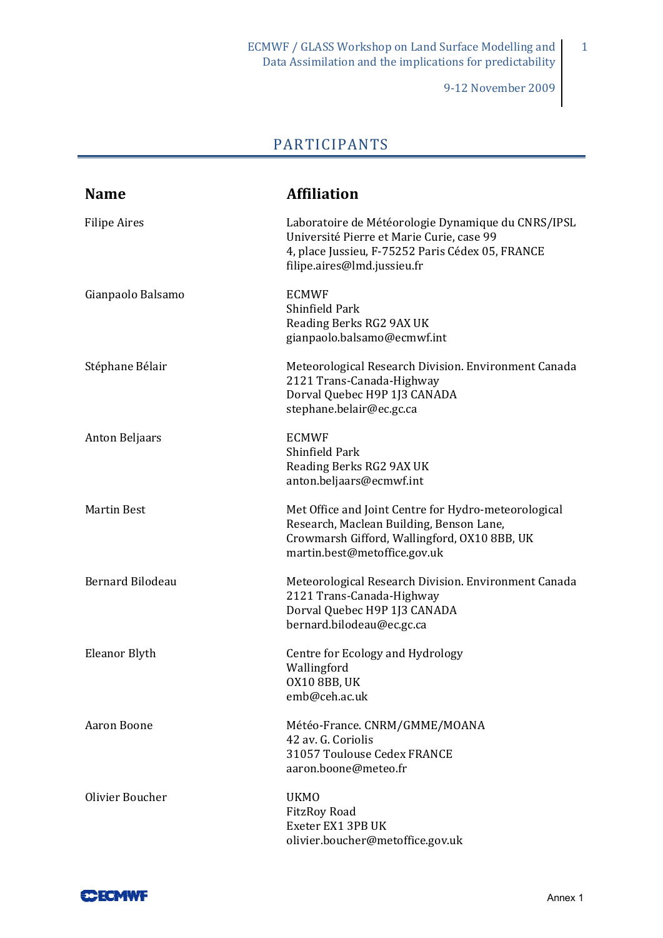9‐12 November 2009

1

## PARTICIPANTS

| <b>Name</b>             | <b>Affiliation</b>                                                                                                                                                                 |
|-------------------------|------------------------------------------------------------------------------------------------------------------------------------------------------------------------------------|
| <b>Filipe Aires</b>     | Laboratoire de Météorologie Dynamique du CNRS/IPSL<br>Université Pierre et Marie Curie, case 99<br>4, place Jussieu, F-75252 Paris Cédex 05, FRANCE<br>filipe.aires@lmd.jussieu.fr |
| Gianpaolo Balsamo       | <b>ECMWF</b><br>Shinfield Park<br>Reading Berks RG2 9AX UK<br>gianpaolo.balsamo@ecmwf.int                                                                                          |
| Stéphane Bélair         | Meteorological Research Division. Environment Canada<br>2121 Trans-Canada-Highway<br>Dorval Quebec H9P 1J3 CANADA<br>stephane.belair@ec.gc.ca                                      |
| <b>Anton Beljaars</b>   | <b>ECMWF</b><br>Shinfield Park<br>Reading Berks RG2 9AX UK<br>anton.beljaars@ecmwf.int                                                                                             |
| <b>Martin Best</b>      | Met Office and Joint Centre for Hydro-meteorological<br>Research, Maclean Building, Benson Lane,<br>Crowmarsh Gifford, Wallingford, OX10 8BB, UK<br>martin.best@metoffice.gov.uk   |
| <b>Bernard Bilodeau</b> | Meteorological Research Division. Environment Canada<br>2121 Trans-Canada-Highway<br>Dorval Quebec H9P 1J3 CANADA<br>bernard.bilodeau@ec.gc.ca                                     |
| Eleanor Blyth           | Centre for Ecology and Hydrology<br>Wallingford<br>OX10 8BB, UK<br>emb@ceh.ac.uk                                                                                                   |
| Aaron Boone             | Météo-France. CNRM/GMME/MOANA<br>42 av. G. Coriolis<br>31057 Toulouse Cedex FRANCE<br>aaron.boone@meteo.fr                                                                         |
| Olivier Boucher         | <b>UKMO</b><br><b>FitzRoy Road</b><br>Exeter EX1 3PB UK<br>olivier.boucher@metoffice.gov.uk                                                                                        |

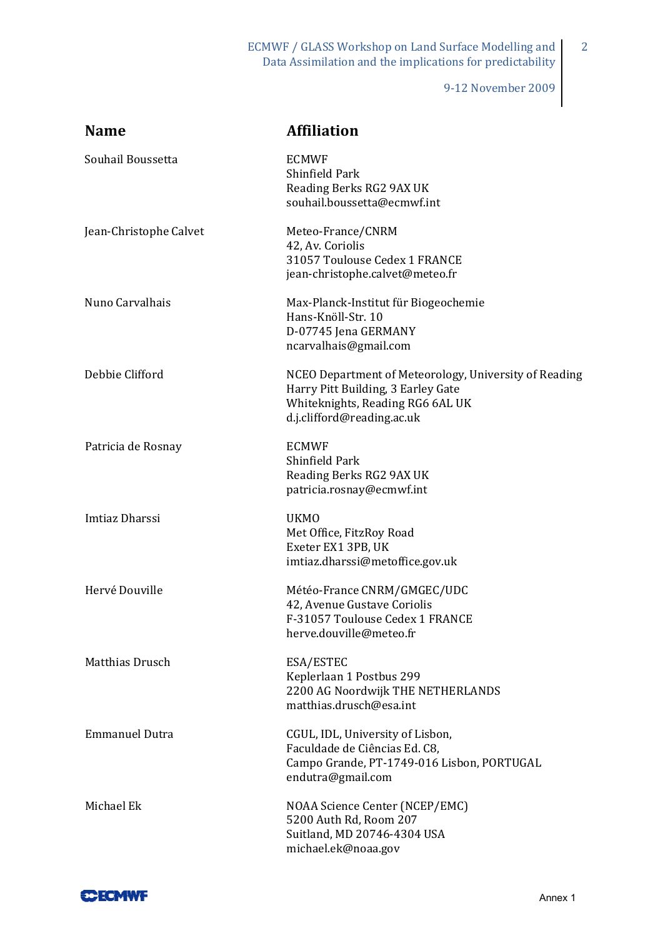9‐12 November 2009

2

| <b>Name</b>            | <b>Affiliation</b>                                                                                                                                            |
|------------------------|---------------------------------------------------------------------------------------------------------------------------------------------------------------|
| Souhail Boussetta      | <b>ECMWF</b><br>Shinfield Park<br>Reading Berks RG2 9AX UK<br>souhail.boussetta@ecmwf.int                                                                     |
| Jean-Christophe Calvet | Meteo-France/CNRM<br>42, Av. Coriolis<br>31057 Toulouse Cedex 1 FRANCE<br>jean-christophe.calvet@meteo.fr                                                     |
| Nuno Carvalhais        | Max-Planck-Institut für Biogeochemie<br>Hans-Knöll-Str. 10<br>D-07745 Jena GERMANY<br>ncarvalhais@gmail.com                                                   |
| Debbie Clifford        | NCEO Department of Meteorology, University of Reading<br>Harry Pitt Building, 3 Earley Gate<br>Whiteknights, Reading RG6 6AL UK<br>d.j.clifford@reading.ac.uk |
| Patricia de Rosnay     | <b>ECMWF</b><br>Shinfield Park<br>Reading Berks RG2 9AX UK<br>patricia.rosnay@ecmwf.int                                                                       |
| Imtiaz Dharssi         | <b>UKMO</b><br>Met Office, FitzRoy Road<br>Exeter EX1 3PB, UK<br>imtiaz.dharssi@metoffice.gov.uk                                                              |
| Hervé Douville         | Météo-France CNRM/GMGEC/UDC<br>42, Avenue Gustave Coriolis<br>F-31057 Toulouse Cedex 1 FRANCE<br>herve.douville@meteo.fr                                      |
| Matthias Drusch        | ESA/ESTEC<br>Keplerlaan 1 Postbus 299<br>2200 AG Noordwijk THE NETHERLANDS<br>matthias.drusch@esa.int                                                         |
| <b>Emmanuel Dutra</b>  | CGUL, IDL, University of Lisbon,<br>Faculdade de Ciências Ed. C8,<br>Campo Grande, PT-1749-016 Lisbon, PORTUGAL<br>endutra@gmail.com                          |
| Michael Ek             | NOAA Science Center (NCEP/EMC)<br>5200 Auth Rd, Room 207<br>Suitland, MD 20746-4304 USA<br>michael.ek@noaa.gov                                                |

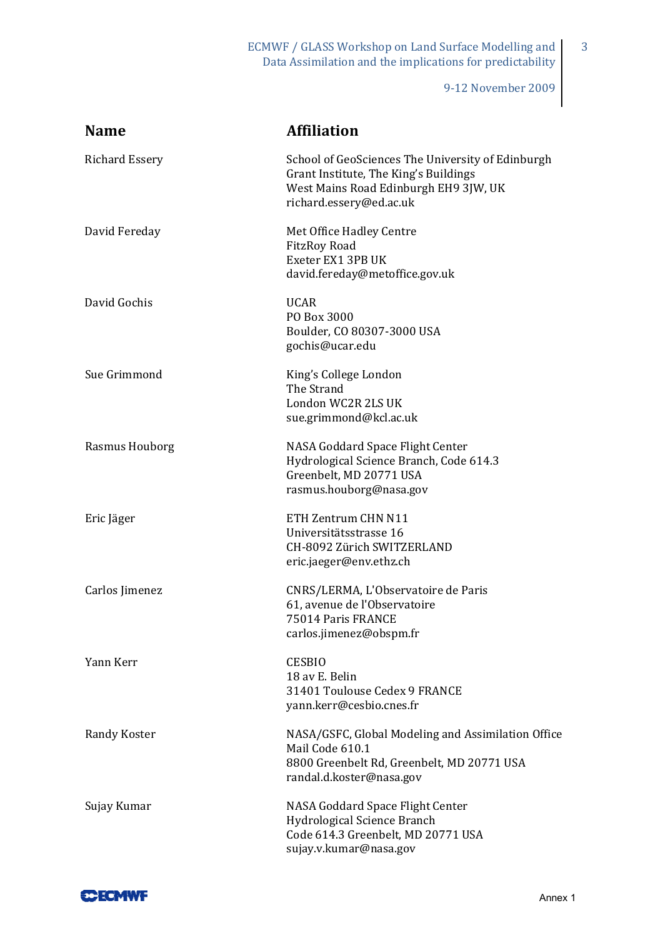ECMWF / GLASS Workshop on Land Surface Modelling and Data Assimilation and the implications for predictability

9‐12 November 2009

3

| <b>Name</b>           | <b>Affiliation</b>                                                                                                                                             |
|-----------------------|----------------------------------------------------------------------------------------------------------------------------------------------------------------|
| <b>Richard Essery</b> | School of GeoSciences The University of Edinburgh<br>Grant Institute, The King's Buildings<br>West Mains Road Edinburgh EH9 3JW, UK<br>richard.essery@ed.ac.uk |
| David Fereday         | Met Office Hadley Centre<br><b>FitzRoy Road</b><br>Exeter EX1 3PB UK<br>david.fereday@metoffice.gov.uk                                                         |
| David Gochis          | <b>UCAR</b><br>PO Box 3000<br>Boulder, CO 80307-3000 USA<br>gochis@ucar.edu                                                                                    |
| Sue Grimmond          | King's College London<br>The Strand<br>London WC2R 2LS UK<br>sue.grimmond@kcl.ac.uk                                                                            |
| Rasmus Houborg        | NASA Goddard Space Flight Center<br>Hydrological Science Branch, Code 614.3<br>Greenbelt, MD 20771 USA<br>rasmus.houborg@nasa.gov                              |
| Eric Jäger            | ETH Zentrum CHN N11<br>Universitätsstrasse 16<br>CH-8092 Zürich SWITZERLAND<br>eric.jaeger@env.ethz.ch                                                         |
| Carlos Jimenez        | CNRS/LERMA, L'Observatoire de Paris<br>61, avenue de l'Observatoire<br>75014 Paris FRANCE<br>carlos.jimenez@obspm.fr                                           |
| Yann Kerr             | <b>CESBIO</b><br>18 av E. Belin<br>31401 Toulouse Cedex 9 FRANCE<br>yann.kerr@cesbio.cnes.fr                                                                   |
| Randy Koster          | NASA/GSFC, Global Modeling and Assimilation Office<br>Mail Code 610.1<br>8800 Greenbelt Rd, Greenbelt, MD 20771 USA<br>randal.d.koster@nasa.gov                |
| Sujay Kumar           | NASA Goddard Space Flight Center<br>Hydrological Science Branch<br>Code 614.3 Greenbelt, MD 20771 USA<br>sujay.v.kumar@nasa.gov                                |

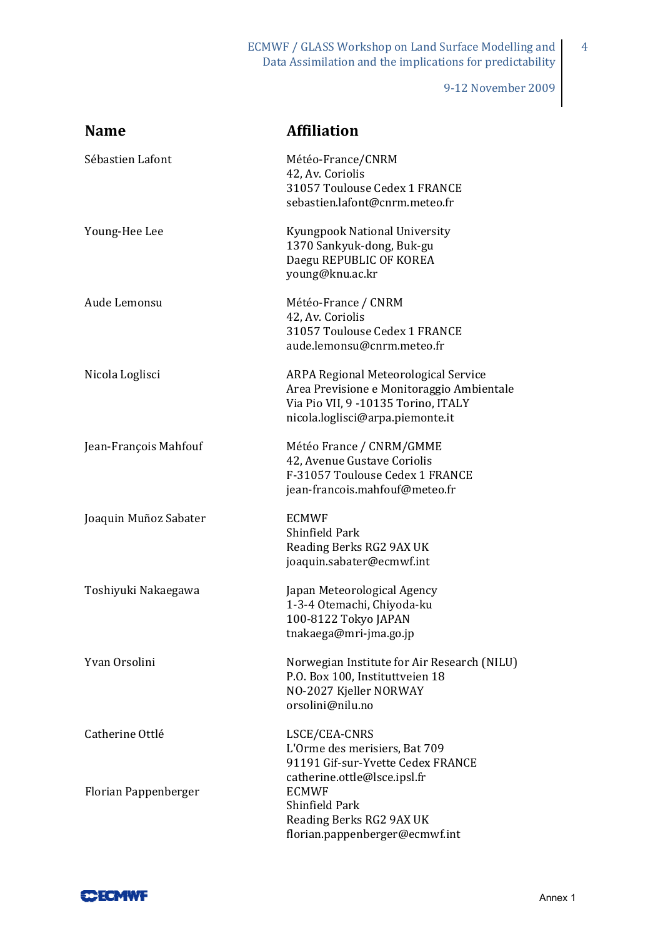ECMWF / GLASS Workshop on Land Surface Modelling and Data Assimilation and the implications for predictability

9‐12 November 2009

4

| <b>Name</b>           | <b>Affiliation</b>                                                                                                                                                  |
|-----------------------|---------------------------------------------------------------------------------------------------------------------------------------------------------------------|
| Sébastien Lafont      | Météo-France/CNRM<br>42, Av. Coriolis<br>31057 Toulouse Cedex 1 FRANCE<br>sebastien.lafont@cnrm.meteo.fr                                                            |
| Young-Hee Lee         | Kyungpook National University<br>1370 Sankyuk-dong, Buk-gu<br>Daegu REPUBLIC OF KOREA<br>young@knu.ac.kr                                                            |
| Aude Lemonsu          | Météo-France / CNRM<br>42, Av. Coriolis<br>31057 Toulouse Cedex 1 FRANCE<br>aude.lemonsu@cnrm.meteo.fr                                                              |
| Nicola Loglisci       | <b>ARPA Regional Meteorological Service</b><br>Area Previsione e Monitoraggio Ambientale<br>Via Pio VII, 9 -10135 Torino, ITALY<br>nicola.loglisci@arpa.piemonte.it |
| Jean-François Mahfouf | Météo France / CNRM/GMME<br>42, Avenue Gustave Coriolis<br>F-31057 Toulouse Cedex 1 FRANCE<br>jean-francois.mahfouf@meteo.fr                                        |
| Joaquin Muñoz Sabater | <b>ECMWF</b><br>Shinfield Park<br>Reading Berks RG2 9AX UK<br>joaquin.sabater@ecmwf.int                                                                             |
| Toshiyuki Nakaegawa   | Japan Meteorological Agency<br>1-3-4 Otemachi, Chiyoda-ku<br>100-8122 Tokyo JAPAN<br>tnakaega@mri-jma.go.jp                                                         |
| Yvan Orsolini         | Norwegian Institute for Air Research (NILU)<br>P.O. Box 100, Instituttveien 18<br>NO-2027 Kjeller NORWAY<br>orsolini@nilu.no                                        |
| Catherine Ottlé       | LSCE/CEA-CNRS<br>L'Orme des merisiers, Bat 709<br>91191 Gif-sur-Yvette Cedex FRANCE                                                                                 |
| Florian Pappenberger  | catherine.ottle@lsce.ipsl.fr<br><b>ECMWF</b><br>Shinfield Park<br>Reading Berks RG2 9AX UK<br>florian.pappenberger@ecmwf.int                                        |

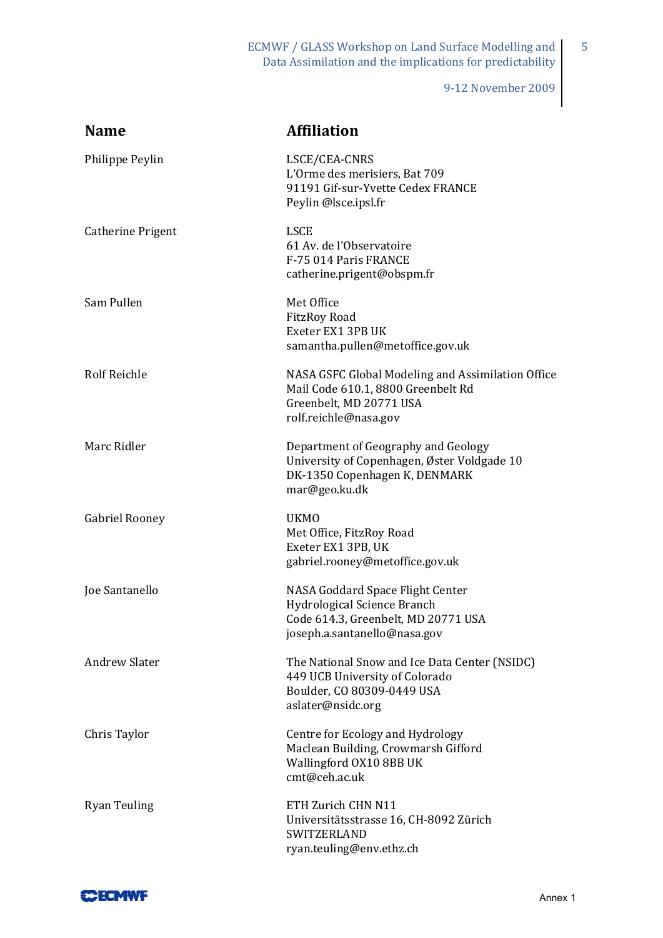ECMWF / GLASS Workshop on Land Surface Modelling and Data Assimilation and the implications for predictability

9-12 November 2009

 $\overline{5}$ 

| <b>Name</b>              | <b>Affiliation</b>                                                                                                                            |
|--------------------------|-----------------------------------------------------------------------------------------------------------------------------------------------|
| Philippe Peylin          | LSCE/CEA-CNRS<br>L'Orme des merisiers, Bat 709<br>91191 Gif-sur-Yvette Cedex FRANCE<br>Peylin @lsce.ipsl.fr                                   |
| <b>Catherine Prigent</b> | <b>LSCE</b><br>61 Av. de l'Observatoire<br>F-75 014 Paris FRANCE<br>catherine.prigent@obspm.fr                                                |
| Sam Pullen               | Met Office<br><b>FitzRoy Road</b><br>Exeter EX1 3PB UK<br>samantha.pullen@metoffice.gov.uk                                                    |
| <b>Rolf Reichle</b>      | NASA GSFC Global Modeling and Assimilation Office<br>Mail Code 610.1, 8800 Greenbelt Rd<br>Greenbelt, MD 20771 USA<br>rolf.reichle@nasa.gov   |
| Marc Ridler              | Department of Geography and Geology<br>University of Copenhagen, Øster Voldgade 10<br>DK-1350 Copenhagen K, DENMARK<br>mar@geo.ku.dk          |
| <b>Gabriel Rooney</b>    | <b>UKMO</b><br>Met Office, FitzRoy Road<br>Exeter EX1 3PB, UK<br>gabriel.rooney@metoffice.gov.uk                                              |
| Joe Santanello           | NASA Goddard Space Flight Center<br><b>Hydrological Science Branch</b><br>Code 614.3, Greenbelt, MD 20771 USA<br>joseph.a.santanello@nasa.gov |
| <b>Andrew Slater</b>     | The National Snow and Ice Data Center (NSIDC)<br>449 UCB University of Colorado<br>Boulder, CO 80309-0449 USA<br>aslater@nsidc.org            |
| Chris Taylor             | Centre for Ecology and Hydrology<br>Maclean Building, Crowmarsh Gifford<br>Wallingford OX10 8BB UK<br>cmt@ceh.ac.uk                           |
| <b>Ryan Teuling</b>      | ETH Zurich CHN N11<br>Universitätsstrasse 16, CH-8092 Zürich<br><b>SWITZERLAND</b><br>ryan.teuling@env.ethz.ch                                |